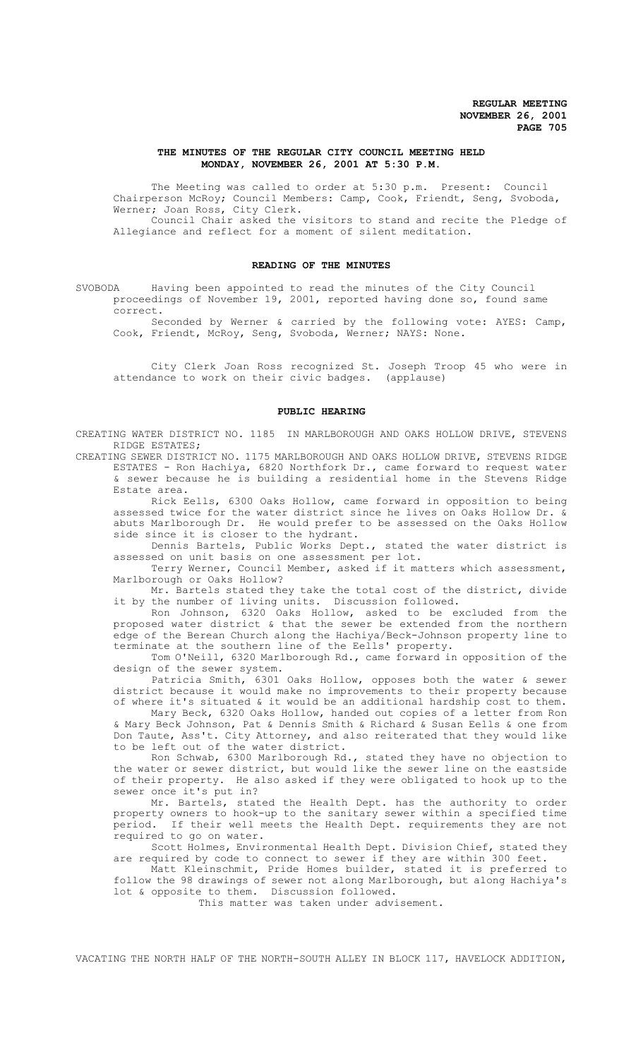# **THE MINUTES OF THE REGULAR CITY COUNCIL MEETING HELD MONDAY, NOVEMBER 26, 2001 AT 5:30 P.M.**

The Meeting was called to order at 5:30 p.m. Present: Council Chairperson McRoy; Council Members: Camp, Cook, Friendt, Seng, Svoboda, Werner; Joan Ross, City Clerk.

Council Chair asked the visitors to stand and recite the Pledge of Allegiance and reflect for a moment of silent meditation.

# **READING OF THE MINUTES**

SVOBODA Having been appointed to read the minutes of the City Council proceedings of November 19, 2001, reported having done so, found same correct.

Seconded by Werner & carried by the following vote: AYES: Camp, Cook, Friendt, McRoy, Seng, Svoboda, Werner; NAYS: None.

City Clerk Joan Ross recognized St. Joseph Troop 45 who were in attendance to work on their civic badges. (applause)

### **PUBLIC HEARING**

CREATING WATER DISTRICT NO. 1185 IN MARLBOROUGH AND OAKS HOLLOW DRIVE, STEVENS RIDGE ESTATES;

CREATING SEWER DISTRICT NO. 1175 MARLBOROUGH AND OAKS HOLLOW DRIVE, STEVENS RIDGE ESTATES - Ron Hachiya, 6820 Northfork Dr., came forward to request water & sewer because he is building a residential home in the Stevens Ridge Estate area.

Rick Eells, 6300 Oaks Hollow, came forward in opposition to being assessed twice for the water district since he lives on Oaks Hollow Dr. & abuts Marlborough Dr. He would prefer to be assessed on the Oaks Hollow side since it is closer to the hydrant.

Dennis Bartels, Public Works Dept., stated the water district is assessed on unit basis on one assessment per lot.

Terry Werner, Council Member, asked if it matters which assessment, Marlborough or Oaks Hollow?

Mr. Bartels stated they take the total cost of the district, divide it by the number of living units. Discussion followed.

Ron Johnson, 6320 Oaks Hollow, asked to be excluded from the proposed water district & that the sewer be extended from the northern edge of the Berean Church along the Hachiya/Beck-Johnson property line to terminate at the southern line of the Eells' property.

Tom O'Neill, 6320 Marlborough Rd., came forward in opposition of the design of the sewer system.

Patricia Smith, 6301 Oaks Hollow, opposes both the water & sewer district because it would make no improvements to their property because of where it's situated & it would be an additional hardship cost to them.

Mary Beck, 6320 Oaks Hollow, handed out copies of a letter from Ron & Mary Beck Johnson, Pat & Dennis Smith & Richard & Susan Eells & one from Don Taute, Ass't. City Attorney, and also reiterated that they would like to be left out of the water district.

Ron Schwab, 6300 Marlborough Rd., stated they have no objection to the water or sewer district, but would like the sewer line on the eastside of their property. He also asked if they were obligated to hook up to the sewer once it's put in?

Mr. Bartels, stated the Health Dept. has the authority to order property owners to hook-up to the sanitary sewer within a specified time period. If their well meets the Health Dept. requirements they are not required to go on water.

Scott Holmes, Environmental Health Dept. Division Chief, stated they are required by code to connect to sewer if they are within 300 feet.

Matt Kleinschmit, Pride Homes builder, stated it is preferred to follow the 98 drawings of sewer not along Marlborough, but along Hachiya's lot & opposite to them. Discussion followed.

This matter was taken under advisement.

VACATING THE NORTH HALF OF THE NORTH-SOUTH ALLEY IN BLOCK 117, HAVELOCK ADDITION,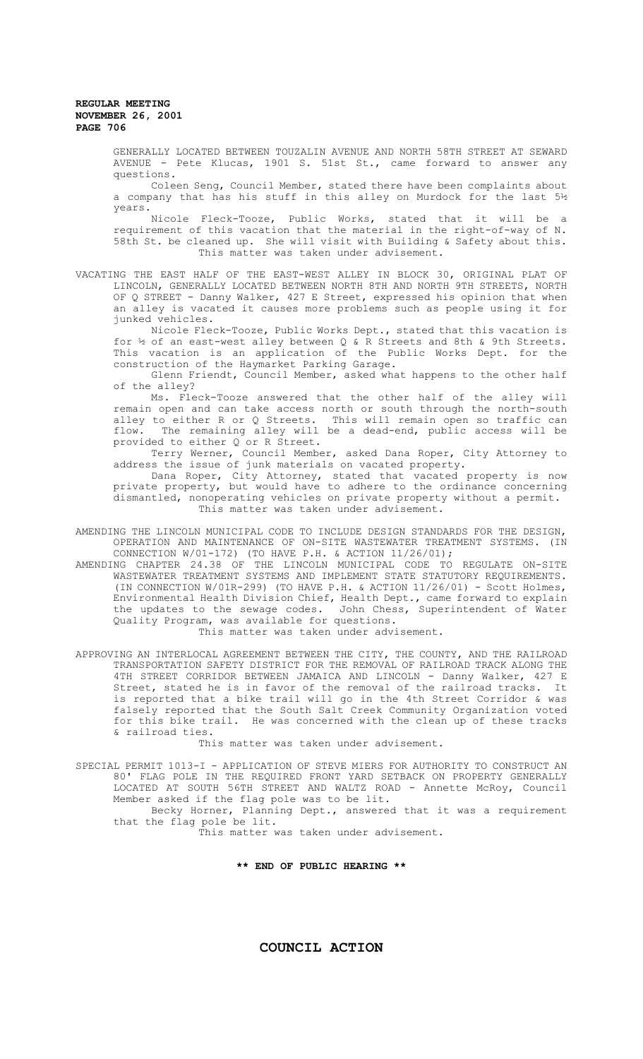GENERALLY LOCATED BETWEEN TOUZALIN AVENUE AND NORTH 58TH STREET AT SEWARD AVENUE - Pete Klucas, 1901 S. 51st St., came forward to answer any questions.

Coleen Seng, Council Member, stated there have been complaints about a company that has his stuff in this alley on Murdock for the last 5½ years.

Nicole Fleck-Tooze, Public Works, stated that it will be a requirement of this vacation that the material in the right-of-way of N. 58th St. be cleaned up. She will visit with Building & Safety about this. This matter was taken under advisement.

VACATING THE EAST HALF OF THE EAST-WEST ALLEY IN BLOCK 30, ORIGINAL PLAT OF LINCOLN, GENERALLY LOCATED BETWEEN NORTH 8TH AND NORTH 9TH STREETS, NORTH OF Q STREET - Danny Walker, 427 E Street, expressed his opinion that when an alley is vacated it causes more problems such as people using it for junked vehicles.

Nicole Fleck-Tooze, Public Works Dept., stated that this vacation is for ½ of an east-west alley between Q & R Streets and 8th & 9th Streets. This vacation is an application of the Public Works Dept. for the construction of the Haymarket Parking Garage.

Glenn Friendt, Council Member, asked what happens to the other half of the alley?

Ms. Fleck-Tooze answered that the other half of the alley will remain open and can take access north or south through the north-south alley to either R or Q Streets. This will remain open so traffic can flow. The remaining alley will be a dead-end, public access will be provided to either Q or R Street.

Terry Werner, Council Member, asked Dana Roper, City Attorney to address the issue of junk materials on vacated property.

Dana Roper, City Attorney, stated that vacated property is now private property, but would have to adhere to the ordinance concerning dismantled, nonoperating vehicles on private property without a permit. This matter was taken under advisement.

- AMENDING THE LINCOLN MUNICIPAL CODE TO INCLUDE DESIGN STANDARDS FOR THE DESIGN, OPERATION AND MAINTENANCE OF ON-SITE WASTEWATER TREATMENT SYSTEMS. (IN CONNECTION W/01-172) (TO HAVE P.H. & ACTION 11/26/01);
- AMENDING CHAPTER 24.38 OF THE LINCOLN MUNICIPAL CODE TO REGULATE ON-SITE WASTEWATER TREATMENT SYSTEMS AND IMPLEMENT STATE STATUTORY REQUIREMENTS. (IN CONNECTION W/01R-299) (TO HAVE P.H. & ACTION 11/26/01) - Scott Holmes, Environmental Health Division Chief, Health Dept., came forward to explain the updates to the sewage codes. John Chess, Superintendent of Water Quality Program, was available for questions. This matter was taken under advisement.
- APPROVING AN INTERLOCAL AGREEMENT BETWEEN THE CITY, THE COUNTY, AND THE RAILROAD TRANSPORTATION SAFETY DISTRICT FOR THE REMOVAL OF RAILROAD TRACK ALONG THE 4TH STREET CORRIDOR BETWEEN JAMAICA AND LINCOLN - Danny Walker, 427 E Street, stated he is in favor of the removal of the railroad tracks. It is reported that a bike trail will go in the 4th Street Corridor & was falsely reported that the South Salt Creek Community Organization voted for this bike trail. He was concerned with the clean up of these tracks & railroad ties.

This matter was taken under advisement.

SPECIAL PERMIT 1013-I - APPLICATION OF STEVE MIERS FOR AUTHORITY TO CONSTRUCT AN 80' FLAG POLE IN THE REQUIRED FRONT YARD SETBACK ON PROPERTY GENERALLY LOCATED AT SOUTH 56TH STREET AND WALTZ ROAD - Annette McRoy, Council Member asked if the flag pole was to be lit. Becky Horner, Planning Dept., answered that it was a requirement that the flag pole be lit.

This matter was taken under advisement.

**\*\* END OF PUBLIC HEARING \*\***

**COUNCIL ACTION**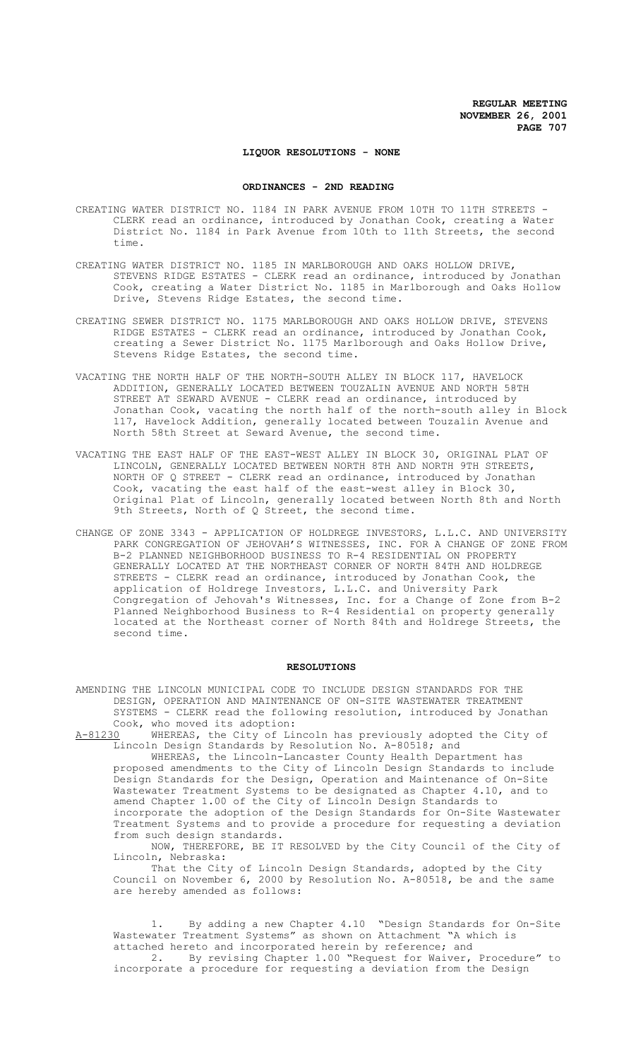## **LIQUOR RESOLUTIONS - NONE**

### **ORDINANCES - 2ND READING**

- CREATING WATER DISTRICT NO. 1184 IN PARK AVENUE FROM 10TH TO 11TH STREETS CLERK read an ordinance, introduced by Jonathan Cook, creating a Water District No. 1184 in Park Avenue from 10th to 11th Streets, the second time.
- CREATING WATER DISTRICT NO. 1185 IN MARLBOROUGH AND OAKS HOLLOW DRIVE, STEVENS RIDGE ESTATES - CLERK read an ordinance, introduced by Jonathan Cook, creating a Water District No. 1185 in Marlborough and Oaks Hollow Drive, Stevens Ridge Estates, the second time.
- CREATING SEWER DISTRICT NO. 1175 MARLBOROUGH AND OAKS HOLLOW DRIVE, STEVENS RIDGE ESTATES - CLERK read an ordinance, introduced by Jonathan Cook, creating a Sewer District No. 1175 Marlborough and Oaks Hollow Drive, Stevens Ridge Estates, the second time.
- VACATING THE NORTH HALF OF THE NORTH-SOUTH ALLEY IN BLOCK 117, HAVELOCK ADDITION, GENERALLY LOCATED BETWEEN TOUZALIN AVENUE AND NORTH 58TH STREET AT SEWARD AVENUE - CLERK read an ordinance, introduced by Jonathan Cook, vacating the north half of the north-south alley in Block 117, Havelock Addition, generally located between Touzalin Avenue and North 58th Street at Seward Avenue, the second time.
- VACATING THE EAST HALF OF THE EAST-WEST ALLEY IN BLOCK 30, ORIGINAL PLAT OF LINCOLN, GENERALLY LOCATED BETWEEN NORTH 8TH AND NORTH 9TH STREETS, NORTH OF Q STREET - CLERK read an ordinance, introduced by Jonathan Cook, vacating the east half of the east-west alley in Block 30, Original Plat of Lincoln, generally located between North 8th and North 9th Streets, North of Q Street, the second time.
- CHANGE OF ZONE 3343 APPLICATION OF HOLDREGE INVESTORS, L.L.C. AND UNIVERSITY PARK CONGREGATION OF JEHOVAH'S WITNESSES, INC. FOR A CHANGE OF ZONE FROM B-2 PLANNED NEIGHBORHOOD BUSINESS TO R-4 RESIDENTIAL ON PROPERTY GENERALLY LOCATED AT THE NORTHEAST CORNER OF NORTH 84TH AND HOLDREGE STREETS - CLERK read an ordinance, introduced by Jonathan Cook, the application of Holdrege Investors, L.L.C. and University Park Congregation of Jehovah's Witnesses, Inc. for a Change of Zone from B-2 Planned Neighborhood Business to R-4 Residential on property generally located at the Northeast corner of North 84th and Holdrege Streets, the second time.

#### **RESOLUTIONS**

- AMENDING THE LINCOLN MUNICIPAL CODE TO INCLUDE DESIGN STANDARDS FOR THE DESIGN, OPERATION AND MAINTENANCE OF ON-SITE WASTEWATER TREATMENT SYSTEMS - CLERK read the following resolution, introduced by Jonathan Cook, who moved its adoption:<br>A-81230 WHEREAS, the City of Li
- WHEREAS, the City of Lincoln has previously adopted the City of Lincoln Design Standards by Resolution No. A-80518; and

WHEREAS, the Lincoln-Lancaster County Health Department has proposed amendments to the City of Lincoln Design Standards to include Design Standards for the Design, Operation and Maintenance of On-Site Wastewater Treatment Systems to be designated as Chapter 4.10, and to amend Chapter 1.00 of the City of Lincoln Design Standards to incorporate the adoption of the Design Standards for On-Site Wastewater Treatment Systems and to provide a procedure for requesting a deviation from such design standards.

NOW, THEREFORE, BE IT RESOLVED by the City Council of the City of Lincoln, Nebraska:

That the City of Lincoln Design Standards, adopted by the City Council on November 6, 2000 by Resolution No. A-80518, be and the same are hereby amended as follows:

1. By adding a new Chapter 4.10 "Design Standards for On-Site Wastewater Treatment Systems" as shown on Attachment "A which is attached hereto and incorporated herein by reference; and

2. By revising Chapter 1.00 "Request for Waiver, Procedure" to incorporate a procedure for requesting a deviation from the Design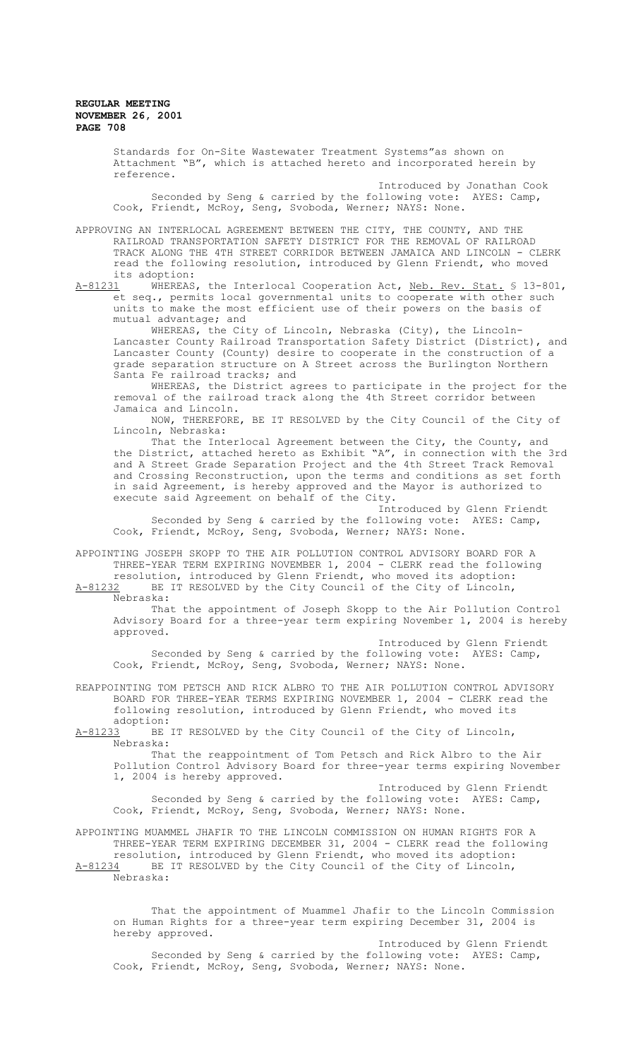> Standards for On-Site Wastewater Treatment Systems"as shown on Attachment "B", which is attached hereto and incorporated herein by reference. Introduced by Jonathan Cook Seconded by Seng & carried by the following vote: AYES: Camp, Cook, Friendt, McRoy, Seng, Svoboda, Werner; NAYS: None.

APPROVING AN INTERLOCAL AGREEMENT BETWEEN THE CITY, THE COUNTY, AND THE RAILROAD TRANSPORTATION SAFETY DISTRICT FOR THE REMOVAL OF RAILROAD TRACK ALONG THE 4TH STREET CORRIDOR BETWEEN JAMAICA AND LINCOLN - CLERK read the following resolution, introduced by Glenn Friendt, who moved its adoption:<br>A-81231 WHEREAS

WHEREAS, the Interlocal Cooperation Act, Neb. Rev. Stat. § 13-801, et seq., permits local governmental units to cooperate with other such units to make the most efficient use of their powers on the basis of mutual advantage; and

WHEREAS, the City of Lincoln, Nebraska (City), the Lincoln-Lancaster County Railroad Transportation Safety District (District), and Lancaster County (County) desire to cooperate in the construction of a grade separation structure on A Street across the Burlington Northern Santa Fe railroad tracks; and

WHEREAS, the District agrees to participate in the project for the removal of the railroad track along the 4th Street corridor between Jamaica and Lincoln.

NOW, THEREFORE, BE IT RESOLVED by the City Council of the City of Lincoln, Nebraska:

That the Interlocal Agreement between the City, the County, and the District, attached hereto as Exhibit "A", in connection with the 3rd and A Street Grade Separation Project and the 4th Street Track Removal and Crossing Reconstruction, upon the terms and conditions as set forth in said Agreement, is hereby approved and the Mayor is authorized to execute said Agreement on behalf of the City.

Introduced by Glenn Friendt Seconded by Seng & carried by the following vote: AYES: Camp, Cook, Friendt, McRoy, Seng, Svoboda, Werner; NAYS: None.

APPOINTING JOSEPH SKOPP TO THE AIR POLLUTION CONTROL ADVISORY BOARD FOR A THREE-YEAR TERM EXPIRING NOVEMBER 1, 2004 - CLERK read the following resolution, introduced by Glenn Friendt, who moved its adoption:<br>A-81232 BE IT RESOLVED by the City Council of the City of Lincoln,

BE IT RESOLVED by the City Council of the City of Lincoln, Nebraska:

That the appointment of Joseph Skopp to the Air Pollution Control Advisory Board for a three-year term expiring November 1, 2004 is hereby approved.

Introduced by Glenn Friendt Seconded by Seng & carried by the following vote: AYES: Camp, Cook, Friendt, McRoy, Seng, Svoboda, Werner; NAYS: None.

REAPPOINTING TOM PETSCH AND RICK ALBRO TO THE AIR POLLUTION CONTROL ADVISORY BOARD FOR THREE-YEAR TERMS EXPIRING NOVEMBER 1, 2004 - CLERK read the following resolution, introduced by Glenn Friendt, who moved its

adoption:<br>A-81233 BE BE IT RESOLVED by the City Council of the City of Lincoln, Nebraska:

That the reappointment of Tom Petsch and Rick Albro to the Air Pollution Control Advisory Board for three-year terms expiring November 1, 2004 is hereby approved.

Introduced by Glenn Friendt Seconded by Seng & carried by the following vote: AYES: Camp, Cook, Friendt, McRoy, Seng, Svoboda, Werner; NAYS: None.

APPOINTING MUAMMEL JHAFIR TO THE LINCOLN COMMISSION ON HUMAN RIGHTS FOR A THREE-YEAR TERM EXPIRING DECEMBER 31, 2004 - CLERK read the following resolution, introduced by Glenn Friendt, who moved its adoption: A-81234 BE IT RESOLVED by the City Council of the City of Lincoln,

Nebraska:

That the appointment of Muammel Jhafir to the Lincoln Commission on Human Rights for a three-year term expiring December 31, 2004 is hereby approved.

Introduced by Glenn Friendt Seconded by Seng & carried by the following vote: AYES: Camp, Cook, Friendt, McRoy, Seng, Svoboda, Werner; NAYS: None.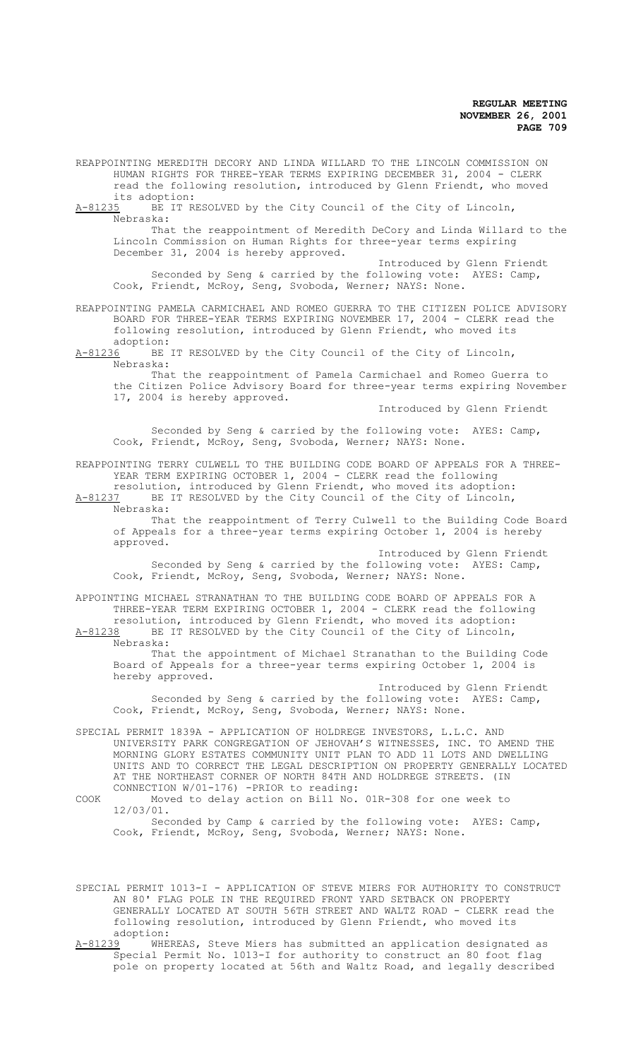REAPPOINTING MEREDITH DECORY AND LINDA WILLARD TO THE LINCOLN COMMISSION ON HUMAN RIGHTS FOR THREE-YEAR TERMS EXPIRING DECEMBER 31, 2004 - CLERK read the following resolution, introduced by Glenn Friendt, who moved its adoption:<br>A-81235 BE IT R

BE IT RESOLVED by the City Council of the City of Lincoln, Nebraska:

That the reappointment of Meredith DeCory and Linda Willard to the Lincoln Commission on Human Rights for three-year terms expiring December 31, 2004 is hereby approved.

Introduced by Glenn Friendt Seconded by Seng & carried by the following vote: AYES: Camp, Cook, Friendt, McRoy, Seng, Svoboda, Werner; NAYS: None.

REAPPOINTING PAMELA CARMICHAEL AND ROMEO GUERRA TO THE CITIZEN POLICE ADVISORY BOARD FOR THREE-YEAR TERMS EXPIRING NOVEMBER 17, 2004 - CLERK read the following resolution, introduced by Glenn Friendt, who moved its

adoption:<br>A-81236 BE BE IT RESOLVED by the City Council of the City of Lincoln, Nebraska:

That the reappointment of Pamela Carmichael and Romeo Guerra to the Citizen Police Advisory Board for three-year terms expiring November 17, 2004 is hereby approved.

Introduced by Glenn Friendt

Seconded by Seng & carried by the following vote: AYES: Camp, Cook, Friendt, McRoy, Seng, Svoboda, Werner; NAYS: None.

REAPPOINTING TERRY CULWELL TO THE BUILDING CODE BOARD OF APPEALS FOR A THREE-YEAR TERM EXPIRING OCTOBER 1, 2004 - CLERK read the following

resolution, introduced by Glenn Friendt, who moved its adoption: A-81237 BE IT RESOLVED by the City Council of the City of Lincoln, Nebraska:

That the reappointment of Terry Culwell to the Building Code Board of Appeals for a three-year terms expiring October 1, 2004 is hereby approved.

Introduced by Glenn Friendt Seconded by Seng & carried by the following vote: AYES: Camp, Cook, Friendt, McRoy, Seng, Svoboda, Werner; NAYS: None.

APPOINTING MICHAEL STRANATHAN TO THE BUILDING CODE BOARD OF APPEALS FOR A THREE-YEAR TERM EXPIRING OCTOBER 1, 2004 - CLERK read the following

resolution, introduced by Glenn Friendt, who moved its adoption:<br>A-81238 BE IT RESOLVED by the City Council of the City of Lincoln, BE IT RESOLVED by the City Council of the City of Lincoln, Nebraska:

That the appointment of Michael Stranathan to the Building Code Board of Appeals for a three-year terms expiring October 1, 2004 is hereby approved.

Introduced by Glenn Friendt Seconded by Seng & carried by the following vote: AYES: Camp, Cook, Friendt, McRoy, Seng, Svoboda, Werner; NAYS: None.

SPECIAL PERMIT 1839A - APPLICATION OF HOLDREGE INVESTORS, L.L.C. AND UNIVERSITY PARK CONGREGATION OF JEHOVAH'S WITNESSES, INC. TO AMEND THE MORNING GLORY ESTATES COMMUNITY UNIT PLAN TO ADD 11 LOTS AND DWELLING UNITS AND TO CORRECT THE LEGAL DESCRIPTION ON PROPERTY GENERALLY LOCATED AT THE NORTHEAST CORNER OF NORTH 84TH AND HOLDREGE STREETS. (IN CONNECTION W/01-176) -PRIOR to reading:

COOK Moved to delay action on Bill No. 01R-308 for one week to 12/03/01. Seconded by Camp & carried by the following vote: AYES: Camp, Cook, Friendt, McRoy, Seng, Svoboda, Werner; NAYS: None.

SPECIAL PERMIT 1013-I - APPLICATION OF STEVE MIERS FOR AUTHORITY TO CONSTRUCT AN 80' FLAG POLE IN THE REQUIRED FRONT YARD SETBACK ON PROPERTY GENERALLY LOCATED AT SOUTH 56TH STREET AND WALTZ ROAD - CLERK read the following resolution, introduced by Glenn Friendt, who moved its adoption:<br>A-81239 WHE

WHEREAS, Steve Miers has submitted an application designated as Special Permit No. 1013-I for authority to construct an 80 foot flag pole on property located at 56th and Waltz Road, and legally described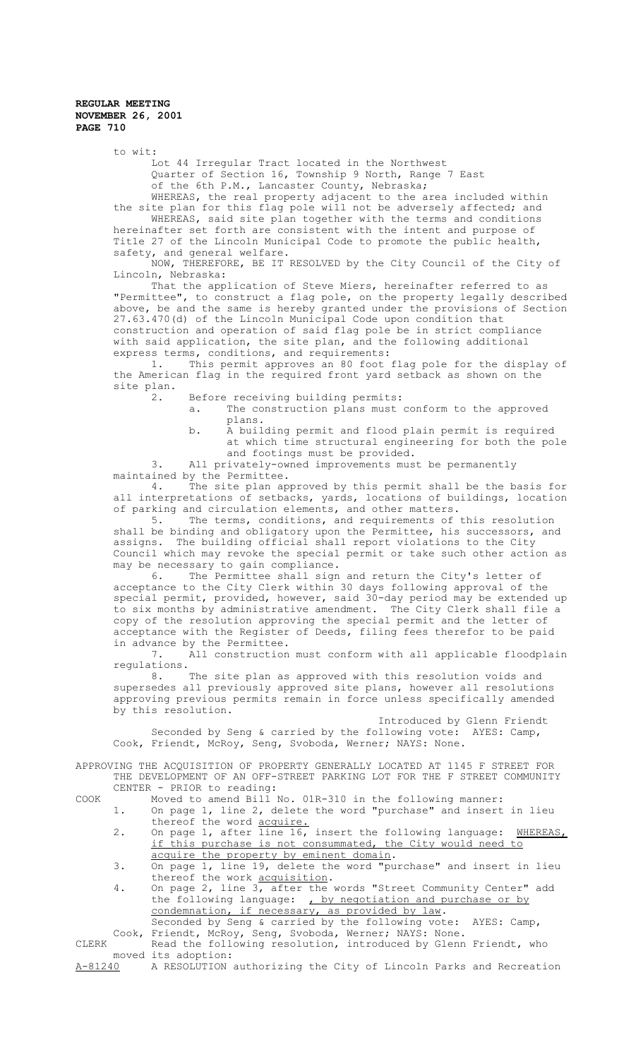to wit:

Lot 44 Irregular Tract located in the Northwest Quarter of Section 16, Township 9 North, Range 7 East of the 6th P.M., Lancaster County, Nebraska;

WHEREAS, the real property adjacent to the area included within the site plan for this flag pole will not be adversely affected; and WHEREAS, said site plan together with the terms and conditions hereinafter set forth are consistent with the intent and purpose of

Title 27 of the Lincoln Municipal Code to promote the public health, safety, and general welfare.

NOW, THEREFORE, BE IT RESOLVED by the City Council of the City of Lincoln, Nebraska:

That the application of Steve Miers, hereinafter referred to as "Permittee", to construct a flag pole, on the property legally described above, be and the same is hereby granted under the provisions of Section 27.63.470(d) of the Lincoln Municipal Code upon condition that construction and operation of said flag pole be in strict compliance with said application, the site plan, and the following additional express terms, conditions, and requirements:

1. This permit approves an 80 foot flag pole for the display of the American flag in the required front yard setback as shown on the site plan.

2. Before receiving building permits:

- a. The construction plans must conform to the approved plans.
- b. A building permit and flood plain permit is required at which time structural engineering for both the pole and footings must be provided.

3. All privately-owned improvements must be permanently maintained by the Permittee.<br>4. The site plan ap-

The site plan approved by this permit shall be the basis for all interpretations of setbacks, yards, locations of buildings, location of parking and circulation elements, and other matters.

5. The terms, conditions, and requirements of this resolution shall be binding and obligatory upon the Permittee, his successors, and assigns. The building official shall report violations to the City Council which may revoke the special permit or take such other action as may be necessary to gain compliance.

6. The Permittee shall sign and return the City's letter of acceptance to the City Clerk within 30 days following approval of the special permit, provided, however, said 30-day period may be extended up to six months by administrative amendment. The City Clerk shall file a copy of the resolution approving the special permit and the letter of acceptance with the Register of Deeds, filing fees therefor to be paid in advance by the Permittee.

7. All construction must conform with all applicable floodplain regulations.

8. The site plan as approved with this resolution voids and supersedes all previously approved site plans, however all resolutions approving previous permits remain in force unless specifically amended by this resolution.

Introduced by Glenn Friendt Seconded by Seng & carried by the following vote: AYES: Camp, Cook, Friendt, McRoy, Seng, Svoboda, Werner; NAYS: None.

APPROVING THE ACQUISITION OF PROPERTY GENERALLY LOCATED AT 1145 F STREET FOR THE DEVELOPMENT OF AN OFF-STREET PARKING LOT FOR THE F STREET COMMUNITY CENTER - PRIOR to reading:

- COOK Moved to amend Bill No. 01R-310 in the following manner: 1. On page 1, line 2, delete the word "purchase" and insert in lieu
	- thereof the word acquire. 2. On page 1, after line 16, insert the following language: WHEREAS, if this purchase is not consummated, the City would need to acquire the property by eminent domain.
	- 3. On page 1, line 19, delete the word "purchase" and insert in lieu thereof the work acquisition.
	- 4. On page 2, line 3, after the words "Street Community Center" add the following language: , by negotiation and purchase or by condemnation, if necessary, as provided by law.

Seconded by Seng & carried by the following vote: AYES: Camp, Cook, Friendt, McRoy, Seng, Svoboda, Werner; NAYS: None.

CLERK Read the following resolution, introduced by Glenn Friendt, who moved its adoption:<br>A-81240 A RESOLUTION A RESOLUTION authorizing the City of Lincoln Parks and Recreation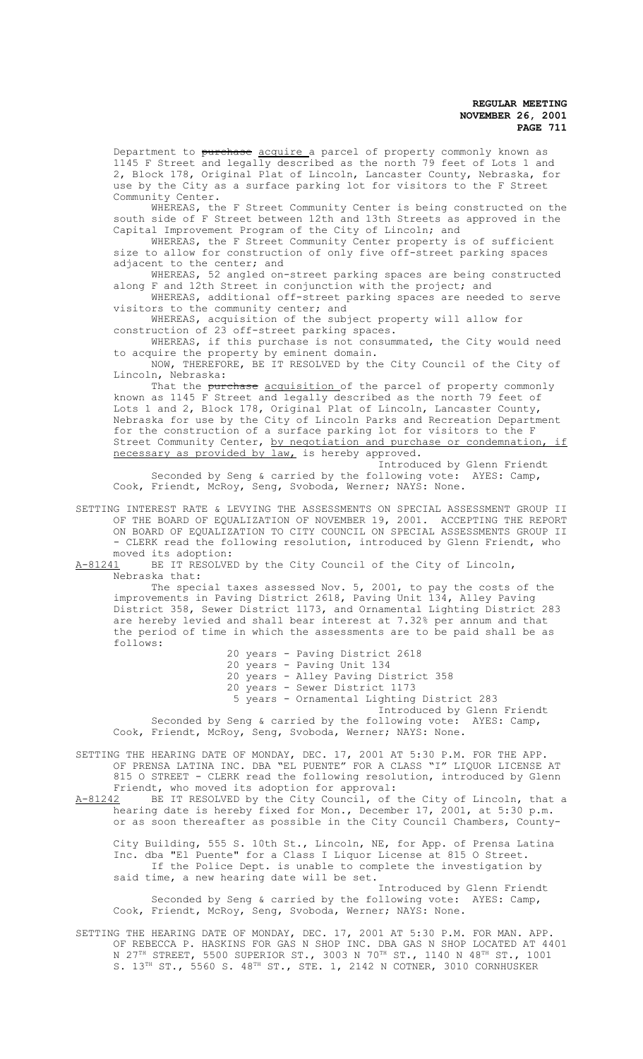Department to purchase acquire a parcel of property commonly known as 1145 F Street and legally described as the north 79 feet of Lots 1 and 2, Block 178, Original Plat of Lincoln, Lancaster County, Nebraska, for use by the City as a surface parking lot for visitors to the F Street Community Center.

WHEREAS, the F Street Community Center is being constructed on the south side of F Street between 12th and 13th Streets as approved in the Capital Improvement Program of the City of Lincoln; and

WHEREAS, the F Street Community Center property is of sufficient size to allow for construction of only five off-street parking spaces adjacent to the center; and

WHEREAS, 52 angled on-street parking spaces are being constructed along F and 12th Street in conjunction with the project; and

WHEREAS, additional off-street parking spaces are needed to serve visitors to the community center; and

WHEREAS, acquisition of the subject property will allow for construction of 23 off-street parking spaces.

WHEREAS, if this purchase is not consummated, the City would need to acquire the property by eminent domain.

NOW, THEREFORE, BE IT RESOLVED by the City Council of the City of Lincoln, Nebraska:

That the purchase acquisition of the parcel of property commonly known as 1145 F Street and legally described as the north 79 feet of Lots 1 and 2, Block 178, Original Plat of Lincoln, Lancaster County, Nebraska for use by the City of Lincoln Parks and Recreation Department for the construction of a surface parking lot for visitors to the F Street Community Center, by negotiation and purchase or condemnation, if necessary as provided by law, is hereby approved.

Introduced by Glenn Friendt Seconded by Seng & carried by the following vote: AYES: Camp, Cook, Friendt, McRoy, Seng, Svoboda, Werner; NAYS: None.

SETTING INTEREST RATE & LEVYING THE ASSESSMENTS ON SPECIAL ASSESSMENT GROUP II OF THE BOARD OF EQUALIZATION OF NOVEMBER 19, 2001. ACCEPTING THE REPORT ON BOARD OF EQUALIZATION TO CITY COUNCIL ON SPECIAL ASSESSMENTS GROUP II - CLERK read the following resolution, introduced by Glenn Friendt, who

moved its adoption:<br>A-81241 BE IT RESOLVE BE IT RESOLVED by the City Council of the City of Lincoln, Nebraska that:

The special taxes assessed Nov. 5, 2001, to pay the costs of the improvements in Paving District 2618, Paving Unit 134, Alley Paving District 358, Sewer District 1173, and Ornamental Lighting District 283 are hereby levied and shall bear interest at 7.32% per annum and that the period of time in which the assessments are to be paid shall be as follows:

20 years - Paving District 2618

20 years - Paving Unit 134

20 years - Alley Paving District 358

20 years - Sewer District 1173

5 years - Ornamental Lighting District 283

Introduced by Glenn Friendt Seconded by Seng & carried by the following vote: AYES: Camp,

Cook, Friendt, McRoy, Seng, Svoboda, Werner; NAYS: None.

SETTING THE HEARING DATE OF MONDAY, DEC. 17, 2001 AT 5:30 P.M. FOR THE APP. OF PRENSA LATINA INC. DBA "EL PUENTE" FOR A CLASS "I" LIQUOR LICENSE AT 815 O STREET - CLERK read the following resolution, introduced by Glenn Friendt, who moved its adoption for approval: A-81242 BE IT RESOLVED by the City Council, of the City of Lincoln, that a

hearing date is hereby fixed for Mon., December 17, 2001, at 5:30 p.m. or as soon thereafter as possible in the City Council Chambers, County-

City Building, 555 S. 10th St., Lincoln, NE, for App. of Prensa Latina Inc. dba "El Puente" for a Class I Liquor License at 815 O Street. If the Police Dept. is unable to complete the investigation by said time, a new hearing date will be set.

Introduced by Glenn Friendt Seconded by Seng & carried by the following vote: AYES: Camp, Cook, Friendt, McRoy, Seng, Svoboda, Werner; NAYS: None.

SETTING THE HEARING DATE OF MONDAY, DEC. 17, 2001 AT 5:30 P.M. FOR MAN. APP. OF REBECCA P. HASKINS FOR GAS N SHOP INC. DBA GAS N SHOP LOCATED AT 4401 N 27 $^{\text{\tiny{TH}}}$  STREET, 5500 SUPERIOR ST., 3003 N 70 $^{\text{\tiny{TH}}}$  ST., 1140 N 48 $^{\text{\tiny{TH}}}$  ST., 1001 S. 13<sup>TH</sup> ST., 5560 S. 48<sup>TH</sup> ST., STE. 1, 2142 N COTNER, 3010 CORNHUSKER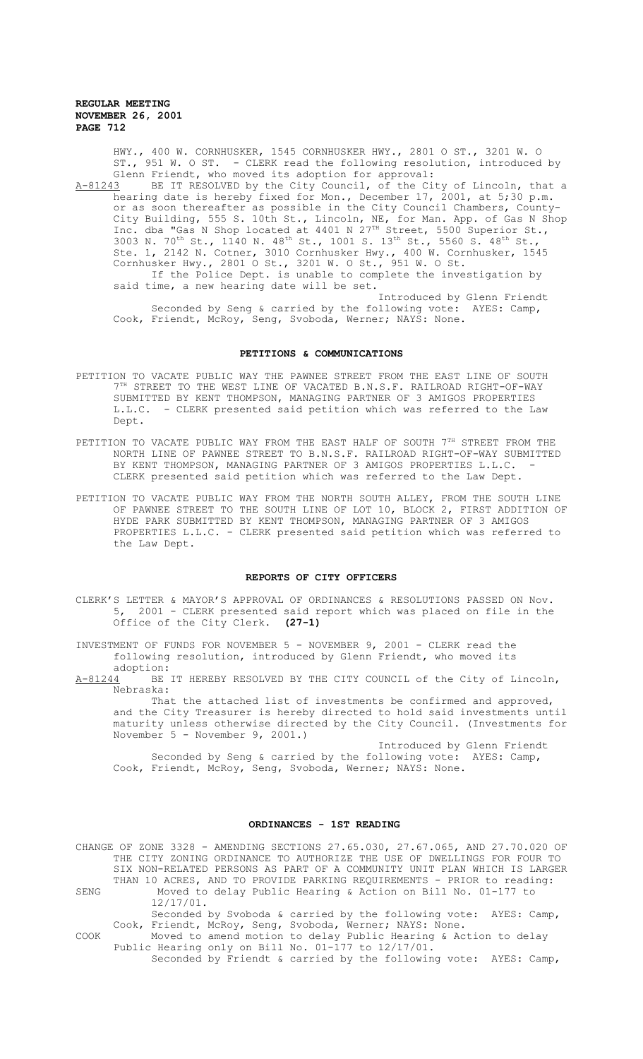HWY., 400 W. CORNHUSKER, 1545 CORNHUSKER HWY., 2801 O ST., 3201 W. O ST., 951 W. O ST. - CLERK read the following resolution, introduced by Glenn Friendt, who moved its adoption for approval:

A-81243 BE IT RESOLVED by the City Council, of the City of Lincoln, that a hearing date is hereby fixed for Mon., December 17, 2001, at 5;30 p.m. or as soon thereafter as possible in the City Council Chambers, County-City Building, 555 S. 10th St., Lincoln, NE, for Man. App. of Gas N Shop Inc. dba "Gas N Shop located at 4401 N 27<sup>TH</sup> Street, 5500 Superior St., 3003 N. 70<sup>th</sup> St., 1140 N. 48<sup>th</sup> St., 1001 S. 13<sup>th</sup> St., 5560 S. 48<sup>th</sup> St., Ste. 1, 2142 N. Cotner, 3010 Cornhusker Hwy., 400 W. Cornhusker, 1545 Cornhusker Hwy., 2801 O St., 3201 W. O St., 951 W. O St. If the Police Dept. is unable to complete the investigation by said time, a new hearing date will be set. Introduced by Glenn Friendt

Seconded by Seng & carried by the following vote: AYES: Camp, Cook, Friendt, McRoy, Seng, Svoboda, Werner; NAYS: None.

### **PETITIONS & COMMUNICATIONS**

- PETITION TO VACATE PUBLIC WAY THE PAWNEE STREET FROM THE EAST LINE OF SOUTH  $7<sup>TH</sup>$  STREET TO THE WEST LINE OF VACATED B.N.S.F. RAILROAD RIGHT-OF-WAY SUBMITTED BY KENT THOMPSON, MANAGING PARTNER OF 3 AMIGOS PROPERTIES L.L.C. - CLERK presented said petition which was referred to the Law Dept.
- PETITION TO VACATE PUBLIC WAY FROM THE EAST HALF OF SOUTH  $7^{\text{\tiny{TH}}}$  STREET FROM THE NORTH LINE OF PAWNEE STREET TO B.N.S.F. RAILROAD RIGHT-OF-WAY SUBMITTED BY KENT THOMPSON, MANAGING PARTNER OF 3 AMIGOS PROPERTIES L.L.C. CLERK presented said petition which was referred to the Law Dept.
- PETITION TO VACATE PUBLIC WAY FROM THE NORTH SOUTH ALLEY, FROM THE SOUTH LINE OF PAWNEE STREET TO THE SOUTH LINE OF LOT 10, BLOCK 2, FIRST ADDITION OF HYDE PARK SUBMITTED BY KENT THOMPSON, MANAGING PARTNER OF 3 AMIGOS PROPERTIES L.L.C. - CLERK presented said petition which was referred to the Law Dept.

#### **REPORTS OF CITY OFFICERS**

CLERK'S LETTER & MAYOR'S APPROVAL OF ORDINANCES & RESOLUTIONS PASSED ON Nov. 5, 2001 - CLERK presented said report which was placed on file in the Office of the City Clerk. **(27-1)**

INVESTMENT OF FUNDS FOR NOVEMBER 5 - NOVEMBER 9, 2001 - CLERK read the following resolution, introduced by Glenn Friendt, who moved its

 $\frac{\text{adoption:}}{\text{A}-81244}$ BE IT HEREBY RESOLVED BY THE CITY COUNCIL of the City of Lincoln, Nebraska:

That the attached list of investments be confirmed and approved, and the City Treasurer is hereby directed to hold said investments until maturity unless otherwise directed by the City Council. (Investments for November 5 - November 9, 2001.)

Introduced by Glenn Friendt Seconded by Seng & carried by the following vote: AYES: Camp, Cook, Friendt, McRoy, Seng, Svoboda, Werner; NAYS: None.

### **ORDINANCES - 1ST READING**

CHANGE OF ZONE 3328 - AMENDING SECTIONS 27.65.030, 27.67.065, AND 27.70.020 OF THE CITY ZONING ORDINANCE TO AUTHORIZE THE USE OF DWELLINGS FOR FOUR TO SIX NON-RELATED PERSONS AS PART OF A COMMUNITY UNIT PLAN WHICH IS LARGER THAN 10 ACRES, AND TO PROVIDE PARKING REQUIREMENTS - PRIOR to reading: SENG Moved to delay Public Hearing & Action on Bill No. 01-177 to 12/17/01. Seconded by Svoboda & carried by the following vote: AYES: Camp, Cook, Friendt, McRoy, Seng, Svoboda, Werner; NAYS: None. COOK Moved to amend motion to delay Public Hearing & Action to delay Public Hearing only on Bill No. 01-177 to 12/17/01. Seconded by Friendt & carried by the following vote: AYES: Camp,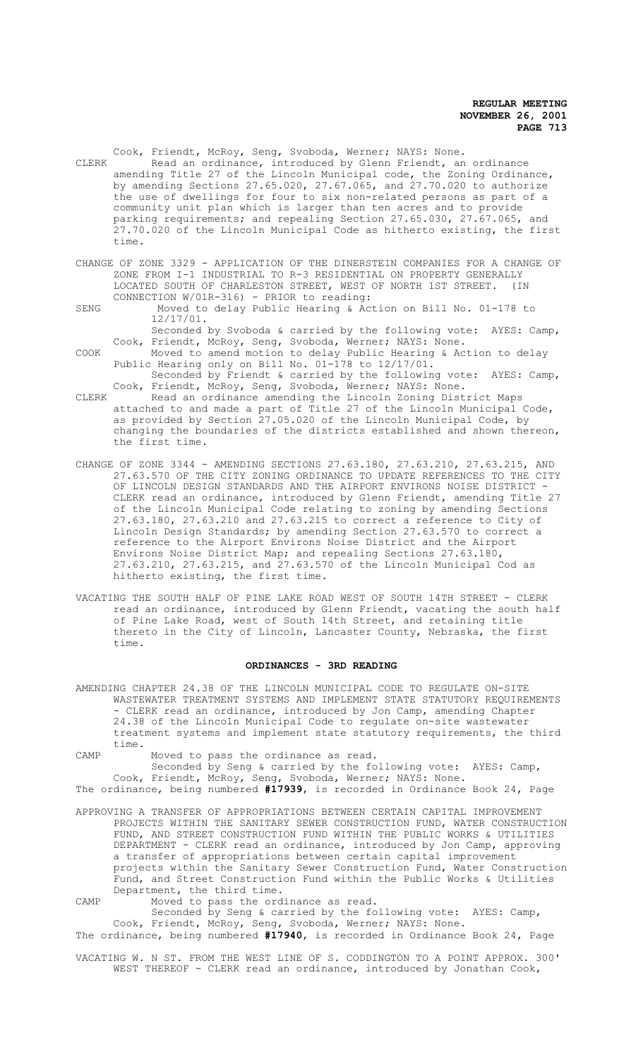Cook, Friendt, McRoy, Seng, Svoboda, Werner; NAYS: None. CLERK Read an ordinance, introduced by Glenn Friendt, an ordinance amending Title 27 of the Lincoln Municipal code, the Zoning Ordinance, by amending Sections 27.65.020, 27.67.065, and 27.70.020 to authorize the use of dwellings for four to six non-related persons as part of a community unit plan which is larger than ten acres and to provide parking requirements; and repealing Section 27.65.030, 27.67.065, and 27.70.020 of the Lincoln Municipal Code as hitherto existing, the first time.

- CHANGE OF ZONE 3329 APPLICATION OF THE DINERSTEIN COMPANIES FOR A CHANGE OF ZONE FROM I-1 INDUSTRIAL TO R-3 RESIDENTIAL ON PROPERTY GENERALLY LOCATED SOUTH OF CHARLESTON STREET, WEST OF NORTH 1ST STREET. (IN CONNECTION W/01R-316) - PRIOR to reading:
- SENG Moved to delay Public Hearing & Action on Bill No. 01-178 to 12/17/01.

Seconded by Svoboda & carried by the following vote: AYES: Camp, Cook, Friendt, McRoy, Seng, Svoboda, Werner; NAYS: None.

COOK Moved to amend motion to delay Public Hearing & Action to delay Public Hearing only on Bill No. 01-178 to 12/17/01. Seconded by Friendt & carried by the following vote: AYES: Camp,

Cook, Friendt, McRoy, Seng, Svoboda, Werner; NAYS: None.

- CLERK Read an ordinance amending the Lincoln Zoning District Maps attached to and made a part of Title 27 of the Lincoln Municipal Code, as provided by Section 27.05.020 of the Lincoln Municipal Code, by changing the boundaries of the districts established and shown thereon, the first time.
- CHANGE OF ZONE 3344 AMENDING SECTIONS 27.63.180, 27.63.210, 27.63.215, AND 27.63.570 OF THE CITY ZONING ORDINANCE TO UPDATE REFERENCES TO THE CITY OF LINCOLN DESIGN STANDARDS AND THE AIRPORT ENVIRONS NOISE DISTRICT -CLERK read an ordinance, introduced by Glenn Friendt, amending Title 27 of the Lincoln Municipal Code relating to zoning by amending Sections 27.63.180, 27.63.210 and 27.63.215 to correct a reference to City of Lincoln Design Standards; by amending Section 27.63.570 to correct a reference to the Airport Environs Noise District and the Airport Environs Noise District Map; and repealing Sections 27.63.180, 27.63.210, 27.63.215, and 27.63.570 of the Lincoln Municipal Cod as hitherto existing, the first time.
- VACATING THE SOUTH HALF OF PINE LAKE ROAD WEST OF SOUTH 14TH STREET CLERK read an ordinance, introduced by Glenn Friendt, vacating the south half of Pine Lake Road, west of South 14th Street, and retaining title thereto in the City of Lincoln, Lancaster County, Nebraska, the first time.

### **ORDINANCES - 3RD READING**

- AMENDING CHAPTER 24.38 OF THE LINCOLN MUNICIPAL CODE TO REGULATE ON-SITE WASTEWATER TREATMENT SYSTEMS AND IMPLEMENT STATE STATUTORY REQUIREMENTS - CLERK read an ordinance, introduced by Jon Camp, amending Chapter 24.38 of the Lincoln Municipal Code to regulate on-site wastewater treatment systems and implement state statutory requirements, the third time.
- CAMP Moved to pass the ordinance as read.

Seconded by Seng & carried by the following vote: AYES: Camp, Cook, Friendt, McRoy, Seng, Svoboda, Werner; NAYS: None. The ordinance, being numbered **#17939**, is recorded in Ordinance Book 24, Page

- APPROVING A TRANSFER OF APPROPRIATIONS BETWEEN CERTAIN CAPITAL IMPROVEMENT PROJECTS WITHIN THE SANITARY SEWER CONSTRUCTION FUND, WATER CONSTRUCTION FUND, AND STREET CONSTRUCTION FUND WITHIN THE PUBLIC WORKS & UTILITIES DEPARTMENT - CLERK read an ordinance, introduced by Jon Camp, approving a transfer of appropriations between certain capital improvement projects within the Sanitary Sewer Construction Fund, Water Construction Fund, and Street Construction Fund within the Public Works & Utilities Department, the third time.
- CAMP Moved to pass the ordinance as read.

Seconded by Seng & carried by the following vote: AYES: Camp, Cook, Friendt, McRoy, Seng, Svoboda, Werner; NAYS: None.

The ordinance, being numbered **#17940**, is recorded in Ordinance Book 24, Page

VACATING W. N ST. FROM THE WEST LINE OF S. CODDINGTON TO A POINT APPROX. 300' WEST THEREOF - CLERK read an ordinance, introduced by Jonathan Cook,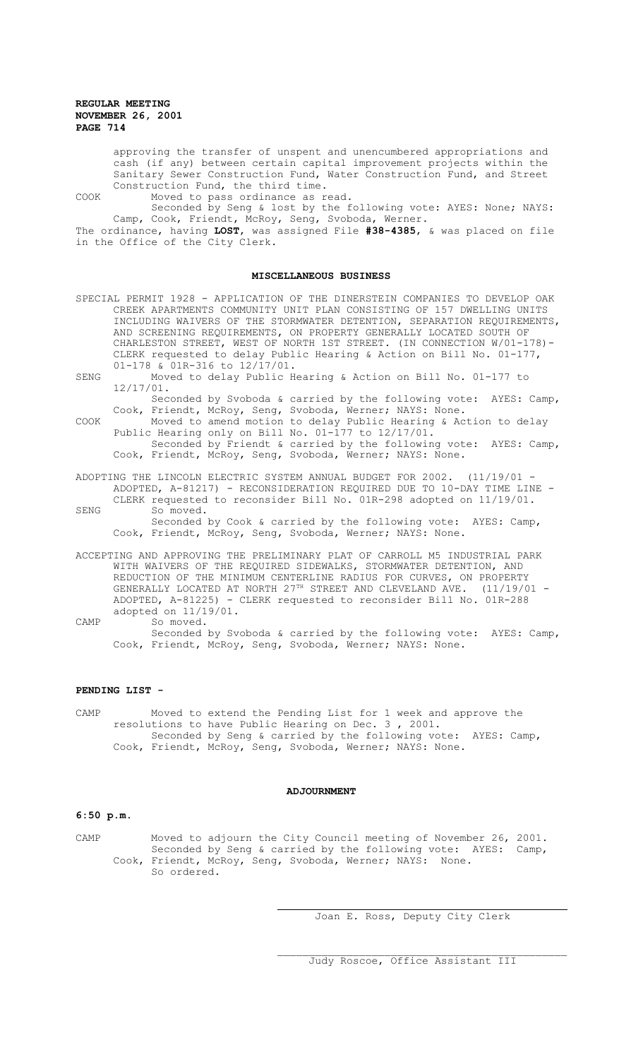approving the transfer of unspent and unencumbered appropriations and cash (if any) between certain capital improvement projects within the Sanitary Sewer Construction Fund, Water Construction Fund, and Street Construction Fund, the third time.

COOK Moved to pass ordinance as read.

Seconded by Seng & lost by the following vote: AYES: None; NAYS: Camp, Cook, Friendt, McRoy, Seng, Svoboda, Werner.

The ordinance, having **LOST**, was assigned File **#38-4385**, & was placed on file in the Office of the City Clerk.

## **MISCELLANEOUS BUSINESS**

- SPECIAL PERMIT 1928 APPLICATION OF THE DINERSTEIN COMPANIES TO DEVELOP OAK CREEK APARTMENTS COMMUNITY UNIT PLAN CONSISTING OF 157 DWELLING UNITS INCLUDING WAIVERS OF THE STORMWATER DETENTION, SEPARATION REQUIREMENTS, AND SCREENING REQUIREMENTS, ON PROPERTY GENERALLY LOCATED SOUTH OF CHARLESTON STREET, WEST OF NORTH 1ST STREET. (IN CONNECTION W/01-178)- CLERK requested to delay Public Hearing & Action on Bill No. 01-177, 01-178 & 01R-316 to 12/17/01.
- SENG Moved to delay Public Hearing & Action on Bill No. 01-177 to 12/17/01.

Seconded by Svoboda & carried by the following vote: AYES: Camp, Cook, Friendt, McRoy, Seng, Svoboda, Werner; NAYS: None.

- COOK Moved to amend motion to delay Public Hearing & Action to delay Public Hearing only on Bill No. 01-177 to 12/17/01. Seconded by Friendt & carried by the following vote: AYES: Camp, Cook, Friendt, McRoy, Seng, Svoboda, Werner; NAYS: None.
- ADOPTING THE LINCOLN ELECTRIC SYSTEM ANNUAL BUDGET FOR 2002. (11/19/01 ADOPTED, A-81217) - RECONSIDERATION REQUIRED DUE TO 10-DAY TIME LINE - CLERK requested to reconsider Bill No. 01R-298 adopted on 11/19/01.
- SENG So moved. Seconded by Cook & carried by the following vote: AYES: Camp, Cook, Friendt, McRoy, Seng, Svoboda, Werner; NAYS: None.
- ACCEPTING AND APPROVING THE PRELIMINARY PLAT OF CARROLL M5 INDUSTRIAL PARK WITH WAIVERS OF THE REQUIRED SIDEWALKS, STORMWATER DETENTION, AND REDUCTION OF THE MINIMUM CENTERLINE RADIUS FOR CURVES, ON PROPERTY GENERALLY LOCATED AT NORTH  $27^{\text{th}}$  STREET AND CLEVELAND AVE. (11/19/01 -ADOPTED, A-81225) - CLERK requested to reconsider Bill No. 01R-288 adopted on 11/19/01.
- CAMP So moved. Seconded by Svoboda & carried by the following vote: AYES: Camp, Cook, Friendt, McRoy, Seng, Svoboda, Werner; NAYS: None.

# **PENDING LIST -**

CAMP Moved to extend the Pending List for 1 week and approve the resolutions to have Public Hearing on Dec. 3 , 2001. Seconded by Seng & carried by the following vote: AYES: Camp, Cook, Friendt, McRoy, Seng, Svoboda, Werner; NAYS: None.

# **ADJOURNMENT**

# **6:50 p.m.**

CAMP Moved to adjourn the City Council meeting of November 26, 2001. Seconded by Seng & carried by the following vote: AYES: Camp, Cook, Friendt, McRoy, Seng, Svoboda, Werner; NAYS: None. So ordered.

 $\overline{a}$ 

Joan E. Ross, Deputy City Clerk